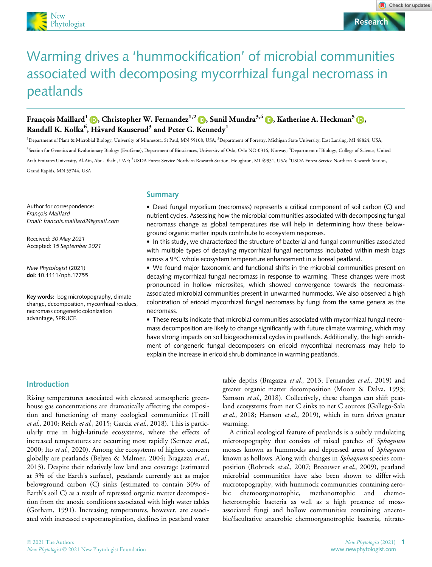

# Warming drives a 'hummockification' of microbial communities associated with decomposing mycorrhizal fungal necromass in peatlands

# François Maillard<sup>[1](https://orcid.org/0000-0002-2144-5629)</sup> **D**, Christopher W. Fernandez<sup>1,2</sup> **D**, Sunil Mundra<sup>3,[4](https://orcid.org/0000-0002-0535-118X)</sup> **D**, Katherine A. Heckman<sup>[5](https://orcid.org/0000-0003-2265-4542)</sup> **D**, Randall K. Kolka $^6$ , Håvard Kauserud $^3$  and Peter G. Kennedy $^1$

<sup>1</sup>Department of Plant & Microbial Biology, University of Minnesota, St Paul, MN 55108, USA; <sup>2</sup>Department of Forestry, Michigan State University, East Lansing, MI 48824, USA; <sup>3</sup>Section for Genetics and Evolutionary Biology (EvoGene), Department of Biosciences, University of Oslo, Oslo NO-0316, Norway; <sup>4</sup>Department of Biology, College of Science, United Arab Emirates University, Al-Ain, Abu-Dhabi, UAE; <sup>5</sup>USDA Forest Service Northern Research Station, Houghton, MI 49931, USA; <sup>6</sup>USDA Forest Service Northern Research Station, Grand Rapids, MN 55744, USA

Author for correspondence: Francois Maillard Email: francois.maillard2@gmail.com

Received: 30 May 2021 Accepted: 15 September 2021

New Phytologist (2021) doi: 10.1111/nph.17755

Key words: bog microtopography, climate change, decomposition, mycorrhizal residues, necromass congeneric colonization advantage, SPRUCE.

# Summary

 Dead fungal mycelium (necromass) represents a critical component of soil carbon (C) and nutrient cycles. Assessing how the microbial communities associated with decomposing fungal necromass change as global temperatures rise will help in determining how these belowground organic matter inputs contribute to ecosystem responses.

• In this study, we characterized the structure of bacterial and fungal communities associated with multiple types of decaying mycorrhizal fungal necromass incubated within mesh bags across a 9°C whole ecosystem temperature enhancement in a boreal peatland.

 We found major taxonomic and functional shifts in the microbial communities present on decaying mycorrhizal fungal necromass in response to warming. These changes were most pronounced in hollow microsites, which showed convergence towards the necromassassociated microbial communities present in unwarmed hummocks. We also observed a high colonization of ericoid mycorrhizal fungal necromass by fungi from the same genera as the necromass.

 These results indicate that microbial communities associated with mycorrhizal fungal necromass decomposition are likely to change significantly with future climate warming, which may have strong impacts on soil biogeochemical cycles in peatlands. Additionally, the high enrichment of congeneric fungal decomposers on ericoid mycorrhizal necromass may help to explain the increase in ericoid shrub dominance in warming peatlands.

Introduction

Rising temperatures associated with elevated atmospheric greenhouse gas concentrations are dramatically affecting the composition and functioning of many ecological communities (Traill et al., 2010; Reich et al., 2015; Garcia et al., 2018). This is particularly true in high-latitude ecosystems, where the effects of increased temperatures are occurring most rapidly (Serreze et al., 2000; Ito et al., 2020). Among the ecosystems of highest concern globally are peatlands (Belyea & Malmer, 2004; Bragazza et al., 2013). Despite their relatively low land area coverage (estimated at 3% of the Earth's surface), peatlands currently act as major belowground carbon (C) sinks (estimated to contain 30% of Earth's soil C) as a result of repressed organic matter decomposition from the anoxic conditions associated with high water tables (Gorham, 1991). Increasing temperatures, however, are associated with increased evapotranspiration, declines in peatland water

table depths (Bragazza et al., 2013; Fernandez et al., 2019) and greater organic matter decomposition (Moore & Dalva, 1993; Samson et al., 2018). Collectively, these changes can shift peatland ecosystems from net C sinks to net C sources (Gallego-Sala et al., 2018; Hanson et al., 2019), which in turn drives greater warming.

A critical ecological feature of peatlands is a subtly undulating microtopography that consists of raised patches of Sphagnum mosses known as hummocks and depressed areas of Sphagnum known as hollows. Along with changes in Sphagnum species composition (Robroek et al., 2007; Breeuwer et al., 2009), peatland microbial communities have also been shown to differ with microtopography, with hummock communities containing aerobic chemoorganotrophic, methanotrophic and chemoheterotrophic bacteria as well as a high presence of mossassociated fungi and hollow communities containing anaerobic/facultative anaerobic chemoorganotrophic bacteria, nitrate-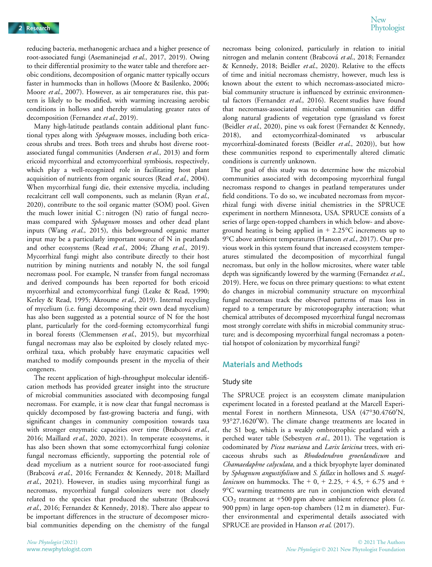New<br>Phytologist 2 Research Phytologist (2008) and the contract of the contract of the contract of the contract of the contract of the contract of the contract of the contract of the contract of the contract of the contract of the contract

reducing bacteria, methanogenic archaea and a higher presence of root-associated fungi (Asemaninejad et al., 2017, 2019). Owing to their differential proximity to the water table and therefore aerobic conditions, decomposition of organic matter typically occurs faster in hummocks than in hollows (Moore & Basilenko, 2006; Moore et al., 2007). However, as air temperatures rise, this pattern is likely to be modified, with warming increasing aerobic conditions in hollows and thereby stimulating greater rates of decomposition (Fernandez et al., 2019).

Many high-latitude peatlands contain additional plant functional types along with Sphagnum mosses, including both ericaceous shrubs and trees. Both trees and shrubs host diverse rootassociated fungal communities (Andersen et al., 2013) and form ericoid mycorrhizal and ectomycorrhizal symbiosis, respectively, which play a well-recognized role in facilitating host plant acquisition of nutrients from organic sources (Read et al., 2004). When mycorrhizal fungi die, their extensive mycelia, including recalcitrant cell wall components, such as melanin (Ryan et al., 2020), contribute to the soil organic matter (SOM) pool. Given the much lower initial  $C$ : nitrogen  $(N)$  ratio of fungal necromass compared with Sphagnum mosses and other dead plant inputs (Wang et al., 2015), this belowground organic matter input may be a particularly important source of N in peatlands and other ecosystems (Read et al., 2004; Zhang et al., 2019). Mycorrhizal fungi might also contribute directly to their host nutrition by mining nutrients and notably N, the soil fungal necromass pool. For example, N transfer from fungal necromass and derived compounds has been reported for both ericoid mycorrhizal and ectomycorrhizal fungi (Leake & Read, 1990; Kerley & Read, 1995; Akroume et al., 2019). Internal recycling of mycelium (i.e. fungi decomposing their own dead mycelium) has also been suggested as a potential source of N for the host plant, particularly for the cord-forming ectomycorrhizal fungi in boreal forests (Clemmensen et al., 2015), but mycorrhizal fungal necromass may also be exploited by closely related mycorrhizal taxa, which probably have enzymatic capacities well matched to modify compounds present in the mycelia of their congeners.

The recent application of high-throughput molecular identification methods has provided greater insight into the structure of microbial communities associated with decomposing fungal necromass. For example, it is now clear that fungal necromass is quickly decomposed by fast-growing bacteria and fungi, with significant changes in community composition towards taxa with stronger enzymatic capacities over time (Brabcová et al., 2016; Maillard et al., 2020, 2021). In temperate ecosystems, it has also been shown that some ectomycorrhizal fungi colonize fungal necromass efficiently, supporting the potential role of dead mycelium as a nutrient source for root-associated fungi (Brabcova et al., 2016; Fernandez & Kennedy, 2018; Maillard et al., 2021). However, in studies using mycorrhizal fungi as necromass, mycorrhizal fungal colonizers were not closely related to the species that produced the substrate (Brabcová et al., 2016; Fernandez & Kennedy, 2018). There also appear to be important differences in the structure of decomposer microbial communities depending on the chemistry of the fungal

necromass being colonized, particularly in relation to initial nitrogen and melanin content (Brabcová et al., 2018; Fernandez & Kennedy, 2018; Beidler et al., 2020). Relative to the effects of time and initial necromass chemistry, however, much less is known about the extent to which necromass-associated microbial community structure is influenced by extrinsic environmental factors (Fernandez et al., 2016). Recent studies have found that necromass-associated microbial communities can differ along natural gradients of vegetation type (grassland vs forest (Beidler et al., 2020), pine vs oak forest (Fernandez & Kennedy, 2018), and ectomycorrhizal-dominated vs arbuscular mycorrhizal-dominated forests (Beidler et al., 2020)), but how these communities respond to experimentally altered climatic conditions is currently unknown.

The goal of this study was to determine how the microbial communities associated with decomposing mycorrhizal fungal necromass respond to changes in peatland temperatures under field conditions. To do so, we incubated necromass from mycorrhizal fungi with diverse initial chemistries in the SPRUCE experiment in northern Minnesota, USA. SPRUCE consists of a series of large open-topped chambers in which below- and aboveground heating is being applied in  $+ 2.25^{\circ}$ C increments up to 9°C above ambient temperatures (Hanson et al., 2017). Our previous work in this system found that increased ecosystem temperatures stimulated the decomposition of mycorrhizal fungal necromass, but only in the hollow microsites, where water table depth was significantly lowered by the warming (Fernandez et al., 2019). Here, we focus on three primary questions: to what extent do changes in microbial community structure on mycorrhizal fungal necromass track the observed patterns of mass loss in regard to a temperature by microtopography interaction; what chemical attributes of decomposed mycorrhizal fungal necromass most strongly correlate with shifts in microbial community structure; and is decomposing mycorrhizal fungal necromass a potential hotspot of colonization by mycorrhizal fungi?

# Materials and Methods

#### Study site

The SPRUCE project is an ecosystem climate manipulation experiment located in a forested peatland at the Marcell Experimental Forest in northern Minnesota, USA (47°30.4760'N, 93°27.1620'W). The climate change treatments are located in the S1 bog, which is a weakly ombrotrophic peatland with a perched water table (Sebestyen et al., 2011). The vegetation is codominated by Picea mariana and Larix laricina trees, with ericaceous shrubs such as Rhododendron groenlandicum and Chamaedaphne calyculata, and a thick bryophyte layer dominated by Sphagnum angustifolium and S. fallax in hollows and S. magel*lanicum* on hummocks. The  $+ 0$ ,  $+ 2.25$ ,  $+ 4.5$ ,  $+ 6.75$  and  $+$ 9°C warming treatments are run in conjunction with elevated  $CO<sub>2</sub>$  treatment at +500 ppm above ambient reference plots (*c*. 900 ppm) in large open-top chambers (12 m in diameter). Further environmental and experimental details associated with SPRUCE are provided in Hanson et al. (2017).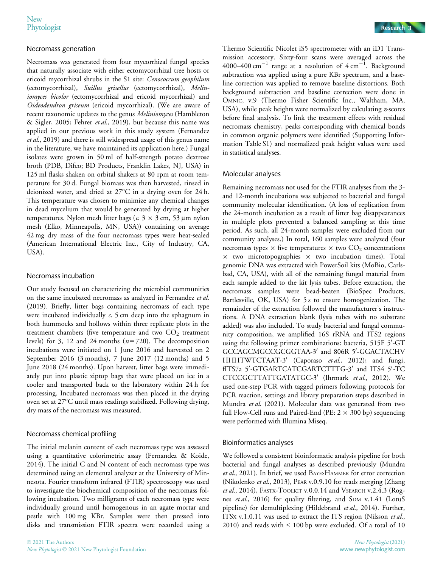## Necromass generation

Necromass was generated from four mycorrhizal fungal species that naturally associate with either ectomycorrhizal tree hosts or ericoid mycorrhizal shrubs in the S1 site: Cenococcum geophilum (ectomycorrhizal), Suillus grisellus (ectomycorrhizal), Meliniomyces bicolor (ectomycorrhizal and ericoid mycorrhizal) and Oideodendron griseum (ericoid mycorrhizal). (We are aware of recent taxonomic updates to the genus Meliniomyces (Hambleton & Sigler, 2005; Fehrer et al., 2019), but because this name was applied in our previous work in this study system (Fernandez et al., 2019) and there is still widespread usage of this genus name in the literature, we have maintained its application here.) Fungal isolates were grown in 50 ml of half-strength potato dextrose broth (PDB, Difco; BD Products, Franklin Lakes, NJ, USA) in 125 ml flasks shaken on orbital shakers at 80 rpm at room temperature for 30 d. Fungal biomass was then harvested, rinsed in deionized water, and dried at 27°C in a drying oven for 24 h. This temperature was chosen to minimize any chemical changes in dead mycelium that would be generated by drying at higher temperatures. Nylon mesh litter bags ( $c$ . 3  $\times$  3 cm, 53  $\mu$ m nylon mesh (Elko, Minneapolis, MN, USA)) containing on average 42 mg dry mass of the four necromass types were heat-sealed (American International Electric Inc., City of Industry, CA, USA).

# Necromass incubation

Our study focused on characterizing the microbial communities on the same incubated necromass as analyzed in Fernandez et al. (2019). Briefly, litter bags containing necromass of each type were incubated individually c. 5 cm deep into the sphagnum in both hummocks and hollows within three replicate plots in the treatment chambers (five temperature and two  $CO<sub>2</sub>$  treatment levels) for 3, 12 and 24 months  $(n=720)$ . The decomposition incubations were initiated on 1 June 2016 and harvested on 2 September 2016 (3 months), 7 June 2017 (12 months) and 5 June 2018 (24 months). Upon harvest, litter bags were immediately put into plastic ziptop bags that were placed on ice in a cooler and transported back to the laboratory within 24 h for processing. Incubated necromass was then placed in the drying oven set at 27°C until mass readings stabilized. Following drying, dry mass of the necromass was measured.

# Necromass chemical profiling

The initial melanin content of each necromass type was assessed using a quantitative colorimetric assay (Fernandez & Koide, 2014). The initial C and N content of each necromass type was determined using an elemental analyzer at the University of Minnesota. Fourier transform infrared (FTIR) spectroscopy was used to investigate the biochemical composition of the necromass following incubation. Two milligrams of each necromass type were individually ground until homogenous in an agate mortar and pestle with 100 mg KBr. Samples were then pressed into disks and transmission FTIR spectra were recorded using a



Thermo Scientific Nicolet iS5 spectrometer with an iD1 Transmission accessory. Sixty-four scans were averaged across the 4000–400  $\mathrm{cm}^{-1}$  range at a resolution of 4  $\mathrm{cm}^{-1}$ . Background subtraction was applied using a pure KBr spectrum, and a baseline correction was applied to remove baseline distortions. Both background subtraction and baseline correction were done in OMNIC, v.9 (Thermo Fisher Scientific Inc., Waltham, MA, USA), while peak heights were normalized by calculating *z*-scores before final analysis. To link the treatment effects with residual necromass chemistry, peaks corresponding with chemical bonds in common organic polymers were identified (Supporting Information Table S1) and normalized peak height values were used in statistical analyses.

## Molecular analyses

Remaining necromass not used for the FTIR analyses from the 3 and 12-month incubations was subjected to bacterial and fungal community molecular identification. (A loss of replication from the 24-month incubation as a result of litter bag disappearances in multiple plots prevented a balanced sampling at this time period. As such, all 24-month samples were excluded from our community analyses.) In total, 160 samples were analyzed (four necromass types  $\times$  five temperatures  $\times$  two CO<sub>2</sub> concentrations  $\times$  two microtopographies  $\times$  two incubation times). Total genomic DNA was extracted with PowerSoil kits (MoBio, Carlsbad, CA, USA), with all of the remaining fungal material from each sample added to the kit lysis tubes. Before extraction, the necromass samples were bead-beaten (BioSpec Products, Bartlesville, OK, USA) for 5 s to ensure homogenization. The remainder of the extraction followed the manufacturer's instructions. A DNA extraction blank (lysis tubes with no substrate added) was also included. To study bacterial and fungal community composition, we amplified 16S rRNA and ITS2 regions using the following primer combinations: bacteria, 515F 5'-GT GCCAGCMGCCGCGGTAA-3' and 806R 5'-GGACTACHV HHHTWTCTAAT-3' (Caporaso et al., 2012); and fungi, fITS7a 5'-GTGARTCATCGARTCTTTG-3' and ITS4 5'-TC CTCCGCTTATTGATATGC-3' (Ihrmark et al., 2012). We used one-step PCR with tagged primers following protocols for PCR reaction, settings and library preparation steps described in Mundra et al. (2021). Molecular data was generated from two full Flow-Cell runs and Paired-End (PE:  $2 \times 300$  bp) sequencing were performed with Illumina Miseq.

#### Bioinformatics analyses

We followed a consistent bioinformatic analysis pipeline for both bacterial and fungal analyses as described previously (Mundra et al., 2021). In brief, we used BAYESHAMMER for error correction (Nikolenko et al., 2013), PEAR v.0.9.10 for reads merging (Zhang et al., 2014), FASTX-TOOLKIT v.0.0.14 and VSEARCH v.2.4.3 (Rognes et al., 2016) for quality filtering, and SDM v.1.41 (LotuS pipeline) for demultiplexing (Hildebrand et al., 2014). Further, ITSx v.1.0.11 was used to extract the ITS region (Nilsson et al., 2010) and reads with < 100 bp were excluded. Of a total of 10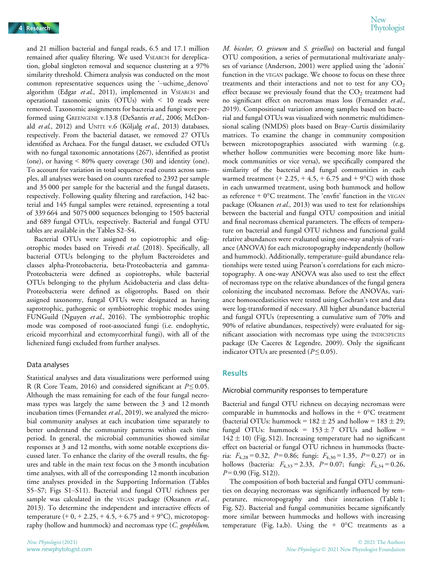and 21 million bacterial and fungal reads, 6.5 and 17.1 million remained after quality filtering. We used VSEARCH for dereplication, global singleton removal and sequence clustering at a 97% similarity threshold. Chimera analysis was conducted on the most common representative sequences using the '–uchime\_denovo' algorithm (Edgar et al., 2011), implemented in VSEARCH and operational taxonomic units (OTUs) with < 10 reads were removed. Taxonomic assignments for bacteria and fungi were performed using GREENGENE v.13.8 (DeSantis et al., 2006; McDonald et al., 2012) and UNITE v.6 (Kõljalg et al., 2013) databases, respectively. From the bacterial dataset, we removed 27 OTUs identified as Archaea. For the fungal dataset, we excluded OTUs with no fungal taxonomic annotations (267), identified as protist (one), or having < 80% query coverage (30) and identity (one). To account for variation in total sequence read counts across samples, all analyses were based on counts rarefied to 2392 per sample and 35 000 per sample for the bacterial and the fungal datasets, respectively. Following quality filtering and rarefaction, 142 bacterial and 145 fungal samples were retained, representing a total of 339 664 and 5075 000 sequences belonging to 1505 bacterial and 689 fungal OTUs, respectively. Bacterial and fungal OTU tables are available in the Tables S2–S4.

Bacterial OTUs were assigned to copiotrophic and oligotrophic modes based on Trivedi et al. (2018). Specifically, all bacterial OTUs belonging to the phylum Bacteroidetes and classes alpha-Proteobacteria, beta-Proteobacteria and gamma-Proteobacteria were defined as copiotrophs, while bacterial OTUs belonging to the phylum Acidobacteria and class delta-Proteobacteria were defined as oligotrophs. Based on their assigned taxonomy, fungal OTUs were designated as having saprotrophic, pathogenic or symbiotrophic trophic modes using FUNGuild (Nguyen et al., 2016). The symbiotrophic trophic mode was composed of root-associated fungi (i.e. endophytic, ericoid mycorrhizal and ectomycorrhizal fungi), with all of the lichenized fungi excluded from further analyses.

# Data analyses

Statistical analyses and data visualizations were performed using R (R Core Team, 2016) and considered significant at  $P \le 0.05$ . Although the mass remaining for each of the four fungal necromass types was largely the same between the 3 and 12 month incubation times (Fernandez et al., 2019), we analyzed the microbial community analyses at each incubation time separately to better understand the community patterns within each time period. In general, the microbial communities showed similar responses at 3 and 12 months, with some notable exceptions discussed later. To enhance the clarity of the overall results, the figures and table in the main text focus on the 3 month incubation time analyses, with all of the corresponding 12 month incubation time analyses provided in the Supporting Information (Tables S5–S7; Figs S1–S11). Bacterial and fungal OTU richness per sample was calculated in the VEGAN package (Oksanen et al., 2013). To determine the independent and interactive effects of temperature  $(+ 0, + 2.25, + 4.5, + 6.75,$  and  $(+9^{\circ}C)$ , microtopography (hollow and hummock) and necromass type  $(C.$  geophilum,

M. bicolor, O. griseum and S. grisellus) on bacterial and fungal OTU composition, a series of permutational multivariate analyses of variance (Anderson, 2001) were applied using the 'adonis' function in the VEGAN package. We choose to focus on these three treatments and their interactions and not to test for any  $CO<sub>2</sub>$ effect because we previously found that the  $CO<sub>2</sub>$  treatment had no significant effect on necromass mass loss (Fernandez et al., 2019). Compositional variation among samples based on bacterial and fungal OTUs was visualized with nonmetric multidimensional scaling (NMDS) plots based on Bray–Curtis dissimilarity matrices. To examine the change in community composition between microtopographies associated with warming (e.g. whether hollow communities were becoming more like hummock communities or vice versa), we specifically compared the similarity of the bacterial and fungal communities in each warmed treatment  $(+ 2.25, +4.5, +6.75, +10.75)$  with those in each unwarmed treatment, using both hummock and hollow as reference  $+0$ °C treatment. The 'envfit' function in the VEGAN package (Oksanen et al., 2013) was used to test for relationships between the bacterial and fungal OTU composition and initial and final necromass chemical parameters. The effects of temperature on bacterial and fungal OTU richness and functional guild relative abundances were evaluated using one-way analysis of variance (ANOVA) for each microtopography independently (hollow and hummock). Additionally, temperature–guild abundance relationships were tested using Pearson's correlations for each microtopography. A one-way ANOVA was also used to test the effect of necromass type on the relative abundances of the fungal genera colonizing the incubated necromass. Before the ANOVAs, variance homoscedasticities were tested using Cochran's test and data were log-transformed if necessary. All higher abundance bacterial and fungal OTUs (representing a cumulative sum of 70% and 90% of relative abundances, respectively) were evaluated for significant association with necromass type using the INDICSPECIES package (De Caceres & Legendre, 2009). Only the significant indicator OTUs are presented ( $P \le 0.05$ ).

# **Results**

#### Microbial community responses to temperature

Bacterial and fungal OTU richness on decaying necromass were comparable in hummocks and hollows in the  $+ 0$ °C treatment (bacterial OTUs: hummock =  $182 \pm 25$  and hollow =  $183 \pm 29$ ; fungal OTUs: hummock =  $153 \pm 7$  OTUs and hollow =  $142 \pm 10$ ) (Fig. S12). Increasing temperature had no significant effect on bacterial or fungal OTU richness in hummocks (bacteria:  $F_{4,28} = 0.32$ ,  $P = 0.86$ ; fungi:  $F_{4,30} = 1.35$ ,  $P = 0.27$ ) or in hollows (bacteria:  $F_{4,33} = 2.33$ ,  $P = 0.07$ ; fungi:  $F_{4,34} = 0.26$ ,  $P = 0.90$  (Fig. S12)).

The composition of both bacterial and fungal OTU communities on decaying necromass was significantly influenced by temperature, microtopography and their interaction (Table 1; Fig. S2). Bacterial and fungal communities became significantly more similar between hummocks and hollows with increasing temperature (Fig. 1a,b). Using the  $+$  0°C treatments as a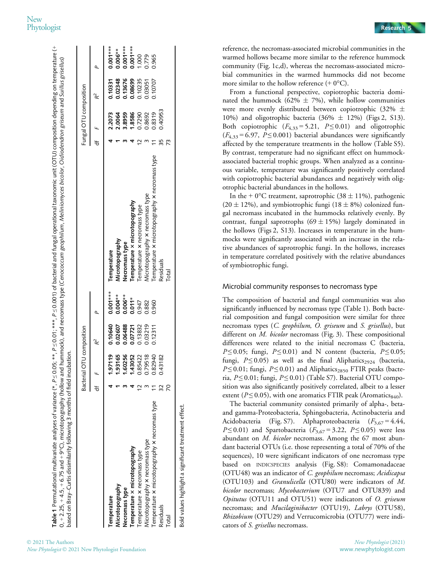# New<br>Phytologist Phytologist Research 5

Table 1 Permutational multivariate analyses of variance (\*,  $P \le 0.05$ , \*\*,  $P \le 0.01$ ; \*\*\*,  $P \le 0.001$ ) of bacterial and fungal operational taxonomic unit (OTU) composition depending on temperature (+

2021 The Authors

New Phytologist © 2021 New Phytologist Foundation

0, + 2.25, + 4.5, + 6.75 and + 9°C), microtopography (hollow and hummock), and necromass type (Cenococcum geophilum, Meliniomyces bicolor, Oidiodendron griseum and Suillus grisellus)

0, + 2.25, + 4.5, + 6.75 and + 9°C), microtopography (hollow and hummock), and necromass type (Cernococcum geophilum, Meliniomyces bicolor, Oidiodendron griseum and Suillus grisellus)

Permutational multivariate analyses of variance (\*, P ≤ 0.05; \*\*, P ≤ 0.01; \*\*\*, P ≤ 0.01; ^#\*, P ≤ 0.01; and fungal operational taxonomic unit (OTU) composition depending on temperature (+

|                                                      | Bacterial C | OTU composition |                                |                                                | Fungal OTU composition                          |                                          |                                                   |
|------------------------------------------------------|-------------|-----------------|--------------------------------|------------------------------------------------|-------------------------------------------------|------------------------------------------|---------------------------------------------------|
|                                                      |             | Ř               |                                |                                                |                                                 | Ř                                        |                                                   |
| Temperature                                          | 1.97119     | 0.10640         | $0.001***$                     | Temperature                                    |                                                 | 0.10331                                  | $0.001***$                                        |
| Vicrotopography                                      | 1.93165     | 0.02607         |                                | Microtopography                                | 2.2073<br>2.0064<br>2.88586<br>3.8586<br>0.7290 |                                          |                                                   |
| Necromass type                                       | 1.60256     | 0.06488         | $0.004**\0.006**\0.014*\0.947$ | Necromass type                                 |                                                 |                                          |                                                   |
| Temperature x microtopography                        | 1.43052     | 0.07721         |                                | Temperature X microtopography                  |                                                 |                                          |                                                   |
| Temperature x necromass type                         | 0.85422     | 0.13832         |                                | Temperature x necromass type                   |                                                 | 0.02348<br>0.13676<br>0.08699<br>0.10235 | 0.006**<br>0.001***<br>0.001***<br>0.000<br>0.965 |
| Vicrotopography x necromass type                     | 0.79518     | 0.03219         | 0.882                          | Microtopography x necromass type               |                                                 | 0.03051                                  |                                                   |
| Temperature x microtopography x necromass type       | 0.82940     | 0.12311         | 0.960                          | Temperature x microtopography x necromass type | 0.8692<br>0.8319                                | 0.10707                                  |                                                   |
| <b>Residuals</b>                                     | 0.43182     |                 |                                | Residuals                                      | 140953                                          |                                          |                                                   |
| Total                                                |             |                 |                                | <b>Total</b>                                   |                                                 |                                          |                                                   |
| Bold values highlight a significant treatment effect |             |                 |                                |                                                |                                                 |                                          |                                                   |

reference, the necromass-associated microbial communities in the warmed hollows became more similar to the reference hummock community (Fig. 1c,d), whereas the necromass-associated microbial communities in the warmed hummocks did not become more similar to the hollow reference  $(+ 0^{\circ}C)$ .

From a functional perspective, copiotrophic bacteria dominated the hummock (62%  $\pm$  7%), while hollow communities were more evenly distributed between copiotrophic (32% 10%) and oligotrophic bacteria (36%  $\pm$  12%) (Figs 2, S13). Both copiotrophic  $(F_{4,33} = 5.21, P \le 0.01)$  and oligotrophic  $(F_{4,33} = 6.97, P \le 0.001)$  bacterial abundances were significantly affected by the temperature treatments in the hollow (Table S5). By contrast, temperature had no significant effect on hummockassociated bacterial trophic groups. When analyzed as a continuous variable, temperature was significantly positively correlated with copiotrophic bacterial abundances and negatively with oligotrophic bacterial abundances in the hollows.

In the + 0°C treatment, saprotrophic (38  $\pm$  11%), pathogenic  $(20 \pm 12\%)$ , and symbiotrophic fungi  $(18 \pm 8\%)$  colonized fungal necromass incubated in the hummocks relatively evenly. By contrast, fungal saprotrophs  $(69 \pm 15\%)$  largely dominated in the hollows (Figs 2, S13). Increases in temperature in the hummocks were significantly associated with an increase in the relative abundances of saprotrophic fungi. In the hollows, increases in temperature correlated positively with the relative abundances of symbiotrophic fungi.

# Microbial community responses to necromass type

The composition of bacterial and fungal communities was also significantly influenced by necromass type (Table 1). Both bacterial composition and fungal composition were similar for three necromass types (C. geophilum, O. griseum and S. grisellus), but different on *M. bicolor* necromass (Fig. 3). These compositional differences were related to the initial necromass C (bacteria,  $P \le 0.05$ ; fungi,  $P \le 0.01$ ) and N content (bacteria,  $P \le 0.05$ ; fungi,  $P \le 0.05$ ) as well as the final Aliphatics<sub>2924</sub> (bacteria,  $P \le 0.01$ ; fungi,  $P \le 0.01$ ) and Aliphatics<sub>2850</sub> FTIR peaks (bacteria,  $P \le 0.01$ ; fungi,  $P \le 0.01$ ) (Table S7). Bacterial OTU composition was also significantly positively correlated, albeit to a lesser extent ( $P \le 0.05$ ), with one aromatics FTIR peak (Aromatics<sub>840</sub>).

The bacterial community consisted primarily of alpha-, betaand gamma-Proteobacteria, Sphingobacteria, Actinobacteria and Acidobacteria (Fig. S7). Alphaproteobacteria ( $F_{3,67} = 4.44$ ,  $P \le 0.01$ ) and Spartobacteria ( $F_{3.67} = 3.22$ ,  $P \le 0.05$ ) were less abundant on M. bicolor necromass. Among the 67 most abundant bacterial OTUs (i.e. those representing a total of 70% of the sequences), 10 were significant indicators of one necromass type based on INDICSPECIES analysis (Fig. S8): Comamonadaceae (OTU48) was an indicator of C. geophilum necromass; Acidicapsa (OTU103) and Granulicella (OTU80) were indicators of M. bicolor necromass; Mycobacterium (OTU7 and OTU839) and Opitutus (OTU11 and OTU51) were indicators of O. griseum necromass; and *Mucilaginibacter* (OTU19), Labrys (OTU58), Rhizobium (OTU29) and Verrucomicrobia (OTU77) were indicators of *S. grisellus* necromass.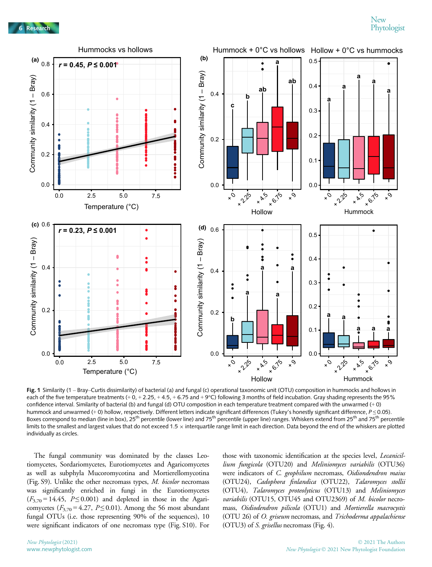

Fig. 1 Similarity (1 - Bray-Curtis dissimilarity) of bacterial (a) and fungal (c) operational taxonomic unit (OTU) composition in hummocks and hollows in each of the five temperature treatments  $(+ 0, + 2.25, + 4.5, + 6.75$  and  $(+9^{\circ}C)$  following 3 months of field incubation. Gray shading represents the 95% confidence interval. Similarity of bacterial (b) and fungal (d) OTU composition in each temperature treatment compared with the unwarmed (+ 0) hummock and unwarmed (+ 0) hollow, respectively. Different letters indicate significant differences (Tukey's honestly significant difference,  $P \le 0.05$ ). Boxes correspond to median (line in box), 25<sup>th</sup> percentile (lower line) and 75<sup>th</sup> percentile (upper line) ranges. Whiskers extend from 25<sup>th</sup> and 75<sup>th</sup> percentile limits to the smallest and largest values that do not exceed 1.5  $\times$  interquartile range limit in each direction. Data beyond the end of the whiskers are plotted individually as circles.

The fungal community was dominated by the classes Leotiomycetes, Sordariomycetes, Eurotiomycetes and Agaricomycetes as well as subphyla Mucoromycotina and Mortierellomycotina (Fig. S9). Unlike the other necromass types, M. bicolor necromass was significantly enriched in fungi in the Eurotiomycetes  $(F_{3,70} = 14.45, P \le 0.001)$  and depleted in those in the Agaricomycetes ( $F_{3,70} = 4.27$ ,  $P \le 0.01$ ). Among the 56 most abundant fungal OTUs (i.e. those representing 90% of the sequences), 10 were significant indicators of one necromass type (Fig. S10). For those with taxonomic identification at the species level, *Lecanicil*lium fungicola (OTU20) and Meliniomyces variabilis (OTU36) were indicators of C. geophilum necromass, Oidiondendron maius (OTU24), Cadophora finlandica (OTU22), Talaromyces stollii (OTU4), Talaromyces proteolyticus (OTU13) and Meliniomyces variabilis (OTU15, OTU45 and OTU2369) of M. bicolor necromass, Oidiodendron pilicola (OTU1) and Mortierella macrocystis (OTU 26) of O. griseum necromass, and Trichoderma appalachiense (OTU3) of S. grisellus necromass (Fig. 4).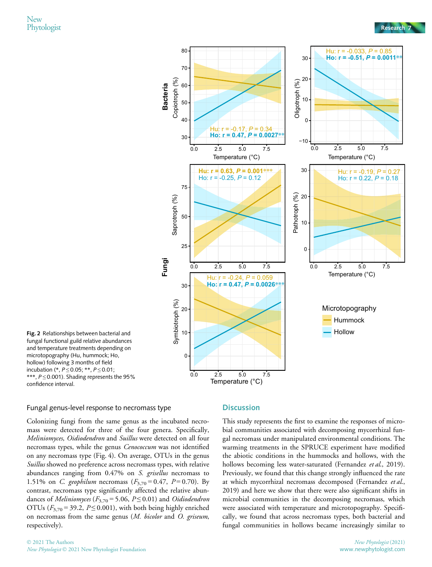

Fig. 2 Relationships between bacterial and fungal functional guild relative abundances and temperature treatments depending on microtopography (Hu, hummock; Ho, hollow) following 3 months of field incubation (\*,  $P \le 0.05$ ; \*\*,  $P \le 0.01$ ; \*\*\*,  $P \le 0.001$ ). Shading represents the 95% confidence interval.

#### Fungal genus-level response to necromass type

Colonizing fungi from the same genus as the incubated necromass were detected for three of the four genera. Specifically, Meliniomyces, Oidiodendron and Suillus were detected on all four necromass types, while the genus *Cenococcum* was not identified on any necromass type (Fig. 4). On average, OTUs in the genus Suillus showed no preference across necromass types, with relative abundances ranging from 0.47% on S. grisellus necromass to 1.51% on *C. geophilum* necromass  $(F_{3,70} = 0.47, P = 0.70)$ . By contrast, necromass type significantly affected the relative abundances of *Meliniomyces* ( $F_{3,70}$  = 5.06,  $P \le 0.01$ ) and *Oidiodendron* OTUs ( $F_{3,70}$  = 39.2,  $P \le 0.001$ ), with both being highly enriched on necromass from the same genus (M. bicolor and O. griseum, respectively).

# **Discussion**

This study represents the first to examine the responses of microbial communities associated with decomposing mycorrhizal fungal necromass under manipulated environmental conditions. The warming treatments in the SPRUCE experiment have modified the abiotic conditions in the hummocks and hollows, with the hollows becoming less water-saturated (Fernandez et al., 2019). Previously, we found that this change strongly influenced the rate at which mycorrhizal necromass decomposed (Fernandez et al., 2019) and here we show that there were also significant shifts in microbial communities in the decomposing necromass, which were associated with temperature and microtopography. Specifically, we found that across necromass types, both bacterial and fungal communities in hollows became increasingly similar to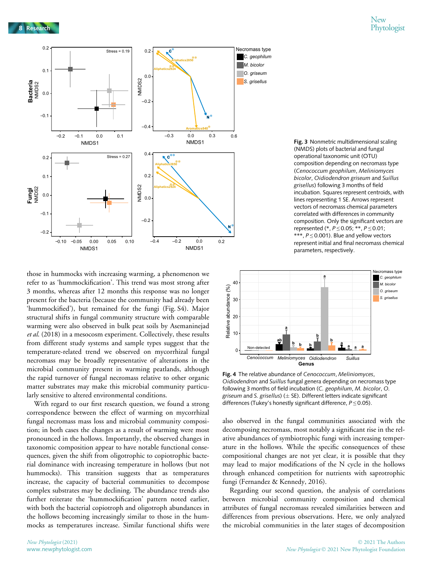

those in hummocks with increasing warming, a phenomenon we refer to as 'hummockification'. This trend was most strong after 3 months, whereas after 12 months this response was no longer present for the bacteria (because the community had already been 'hummockified'), but remained for the fungi (Fig. S4). Major structural shifts in fungal community structure with comparable warming were also observed in bulk peat soils by Asemaninejad et al. (2018) in a mesocosm experiment. Collectively, these results from different study systems and sample types suggest that the temperature-related trend we observed on mycorrhizal fungal necromass may be broadly representative of alterations in the microbial community present in warming peatlands, although the rapid turnover of fungal necromass relative to other organic matter substrates may make this microbial community particularly sensitive to altered environmental conditions.

With regard to our first research question, we found a strong correspondence between the effect of warming on mycorrhizal fungal necromass mass loss and microbial community composition; in both cases the changes as a result of warming were most pronounced in the hollows. Importantly, the observed changes in taxonomic composition appear to have notable functional consequences, given the shift from oligotrophic to copiotrophic bacterial dominance with increasing temperature in hollows (but not hummocks). This transition suggests that as temperatures increase, the capacity of bacterial communities to decompose complex substrates may be declining. The abundance trends also further reiterate the 'hummockification' pattern noted earlier, with both the bacterial copiotroph and oligotroph abundances in the hollows becoming increasingly similar to those in the hummocks as temperatures increase. Similar functional shifts were

Fig. 3 Nonmetric multidimensional scaling (NMDS) plots of bacterial and fungal operational taxonomic unit (OTU) composition depending on necromass type (Cenococcum geophilum, Meliniomyces bicolor, Oidiodendron griseum and Suillus grisellus) following 3 months of field incubation. Squares represent centroids, with lines representing 1 SE. Arrows represent vectors of necromass chemical parameters correlated with differences in community composition. Only the significant vectors are represented (\*,  $P \le 0.05$ ; \*\*,  $P \le 0.01$ ; \*\*\*,  $P \le 0.001$ ). Blue and yellow vectors represent initial and final necromass chemical parameters, respectively.



Fig. 4 The relative abundance of Cenococcum, Meliniomyces, Oidiodendron and Suillus fungal genera depending on necromass type following 3 months of field incubation (C. geophilum, M. bicolor, O. griseum and S. grisellus) ( $\pm$  SE). Different letters indicate significant differences (Tukey's honestly significant difference,  $P \le 0.05$ ).

also observed in the fungal communities associated with the decomposing necromass, most notably a significant rise in the relative abundances of symbiotrophic fungi with increasing temperature in the hollows. While the specific consequences of these compositional changes are not yet clear, it is possible that they may lead to major modifications of the N cycle in the hollows through enhanced competition for nutrients with saprotrophic fungi (Fernandez & Kennedy, 2016).

Regarding our second question, the analysis of correlations between microbial community composition and chemical attributes of fungal necromass revealed similarities between and differences from previous observations. Here, we only analyzed the microbial communities in the later stages of decomposition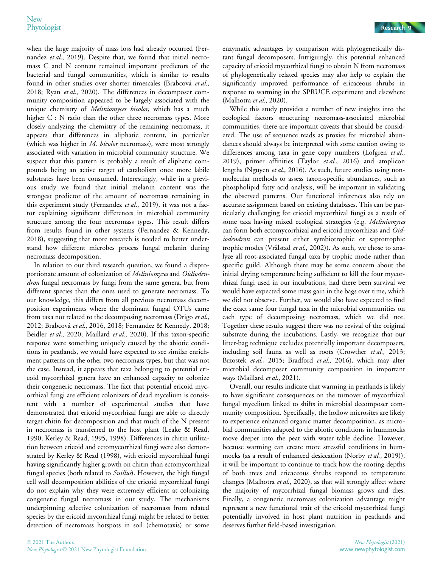when the large majority of mass loss had already occurred (Fernandez et al., 2019). Despite that, we found that initial necromass C and N content remained important predictors of the bacterial and fungal communities, which is similar to results found in other studies over shorter timescales (Brabcová et al., 2018; Ryan et al., 2020). The differences in decomposer community composition appeared to be largely associated with the unique chemistry of *Meliniomyces bicolor*, which has a much higher C : N ratio than the other three necromass types. More closely analyzing the chemistry of the remaining necromass, it appears that differences in aliphatic content, in particular (which was higher in *M. bicolor* necromass), were most strongly associated with variation in microbial community structure. We suspect that this pattern is probably a result of aliphatic compounds being an active target of catabolism once more labile substrates have been consumed. Interestingly, while in a previous study we found that initial melanin content was the strongest predictor of the amount of necromass remaining in this experiment study (Fernandez et al., 2019), it was not a factor explaining significant differences in microbial community structure among the four necromass types. This result differs from results found in other systems (Fernandez & Kennedy, 2018), suggesting that more research is needed to better understand how different microbes process fungal melanin during necromass decomposition.

In relation to our third research question, we found a disproportionate amount of colonization of Meliniomyces and Oidiodendron fungal necromass by fungi from the same genera, but from different species than the ones used to generate necromass. To our knowledge, this differs from all previous necromass decomposition experiments where the dominant fungal OTUs came from taxa not related to the decomposing necromass (Drigo et al., 2012; Brabcová et al., 2016, 2018; Fernandez & Kennedy, 2018; Beidler et al., 2020; Maillard et al., 2020). If this taxon-specific response were something uniquely caused by the abiotic conditions in peatlands, we would have expected to see similar enrichment patterns on the other two necromass types, but that was not the case. Instead, it appears that taxa belonging to potential ericoid mycorrhizal genera have an enhanced capacity to colonize their congeneric necromass. The fact that potential ericoid mycorrhizal fungi are efficient colonizers of dead mycelium is consistent with a number of experimental studies that have demonstrated that ericoid mycorrhizal fungi are able to directly target chitin for decomposition and that much of the N present in necromass is transferred to the host plant (Leake & Read, 1990; Kerley & Read, 1995, 1998). Differences in chitin utilization between ericoid and ectomycorrhizal fungi were also demonstrated by Kerley & Read (1998), with ericoid mycorrhizal fungi having significantly higher growth on chitin than ectomycorrhizal fungal species (both related to *Suillus*). However, the high fungal cell wall decomposition abilities of the ericoid mycorrhizal fungi do not explain why they were extremely efficient at colonizing congeneric fungal necromass in our study. The mechanisms underpinning selective colonization of necromass from related species by the ericoid mycorrhizal fungi might be related to better detection of necromass hotspots in soil (chemotaxis) or some

enzymatic advantages by comparison with phylogenetically distant fungal decomposers. Intriguingly, this potential enhanced capacity of ericoid mycorrhizal fungi to obtain N from necromass of phylogenetically related species may also help to explain the significantly improved performance of ericaceous shrubs in response to warming in the SPRUCE experiment and elsewhere (Malhotra et al., 2020).

While this study provides a number of new insights into the ecological factors structuring necromass-associated microbial communities, there are important caveats that should be considered. The use of sequence reads as proxies for microbial abundances should always be interpreted with some caution owing to differences among taxa in gene copy numbers (Lofgren et al., 2019), primer affinities (Taylor et al., 2016) and amplicon lengths (Nguyen et al., 2016). As such, future studies using nonmolecular methods to assess taxon-specific abundances, such as phospholipid fatty acid analysis, will be important in validating the observed patterns. Our functional inferences also rely on accurate assignment based on existing databases. This can be particularly challenging for ericoid mycorrhizal fungi as a result of some taxa having mixed ecological strategies (e.g. Meliniomyces can form both ectomycorrhizal and ericoid mycorrhizas and Oidiodendron can present either symbiotrophic or saprotrophic trophic modes (Vrålstad et al., 2002)). As such, we chose to analyze all root-associated fungal taxa by trophic mode rather than specific guild. Although there may be some concern about the initial drying temperature being sufficient to kill the four mycorrhizal fungi used in our incubations, had there been survival we would have expected some mass gain in the bags over time, which we did not observe. Further, we would also have expected to find the exact same four fungal taxa in the microbial communities on each type of decomposing necromass, which we did not. Together these results suggest there was no revival of the original substrate during the incubations. Lastly, we recognize that our litter-bag technique excludes potentially important decomposers, including soil fauna as well as roots (Crowther et al., 2013; Brzostek et al., 2015; Bradford et al., 2016), which may alter microbial decomposer community composition in important ways (Maillard et al., 2021).

Overall, our results indicate that warming in peatlands is likely to have significant consequences on the turnover of mycorrhizal fungal mycelium linked to shifts in microbial decomposer community composition. Specifically, the hollow microsites are likely to experience enhanced organic matter decomposition, as microbial communities adapted to the abiotic conditions in hummocks move deeper into the peat with water table decline. However, because warming can create more stressful conditions in hummocks (as a result of enhanced desiccation (Norby et al., 2019)), it will be important to continue to track how the rooting depths of both trees and ericaceous shrubs respond to temperature changes (Malhotra et al., 2020), as that will strongly affect where the majority of mycorrhizal fungal biomass grows and dies. Finally, a congeneric necromass colonization advantage might represent a new functional trait of the ericoid mycorrhizal fungi potentially involved in host plant nutrition in peatlands and deserves further field-based investigation.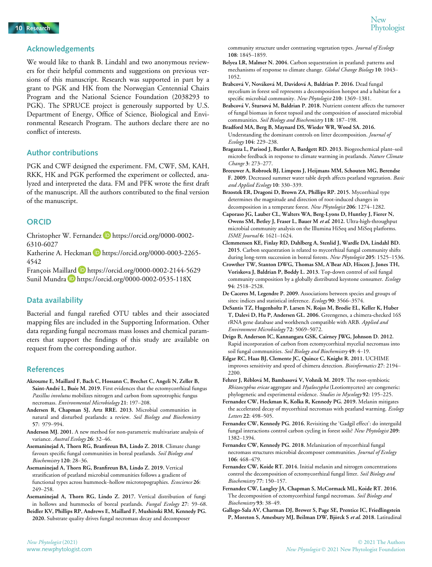

# Acknowledgements

We would like to thank B. Lindahl and two anonymous reviewers for their helpful comments and suggestions on previous versions of this manuscript. Research was supported in part by a grant to PGK and HK from the Norwegian Centennial Chairs Program and the National Science Foundation (2038293 to PGK). The SPRUCE project is generously supported by U.S. Department of Energy, Office of Science, Biological and Environmental Research Program. The authors declare there are no conflict of interests.

# Author contributions

PGK and CWF designed the experiment. FM, CWF, SM, KAH, RKK, HK and PGK performed the experiment or collected, analyzed and interpreted the data. FM and PFK wrote the first draft of the manuscript. All the authors contributed to the final version of the manuscript.

## **ORCID**

Christopher W. Fernandez D https://orcid.org/0000-0002-6310-6027

Katherine A. Heckman D https://orcid.org/0000-0003-2265-4542

François Maillard **https://orcid.org/0000-0002-2144-5629** Sunil Mundra D https://orcid.org/0000-0002-0535-118X

# Data availability

Bacterial and fungal rarefied OTU tables and their associated mapping files are included in the Supporting Information. Other data regarding fungal necromass mass losses and chemical parameters that support the findings of this study are available on request from the corresponding author.

#### References

- Akroume E, Maillard F, Bach C, Hossann C, Brechet C, Angeli N, Zeller B, Saint-André L, Buée M. 2019. First evidences that the ectomycorrhizal fungus Paxillus involutus mobilizes nitrogen and carbon from saprotrophic fungus necromass. Environmental Microbiology 21: 197–208.
- Andersen R, Chapman SJ, Artz RRE. 2013. Microbial communities in natural and disturbed peatlands: a review. Soil Biology and Biochemistry 57: 979–994.
- Anderson MJ. 2001. A new method for non-parametric multivariate analysis of variance. Austral Ecology 26: 32-46.
- Asemaninejad A, Thorn RG, Branfireun BA, Lindo Z. 2018. Climate change favours specific fungal communities in boreal peatlands. Soil Biology and Biochemistry 120: 28–36.
- Asemaninejad A, Thorn RG, Branfireun BA, Lindo Z. 2019. Vertical stratification of peatland microbial communities follows a gradient of functional types across hummock-hollow microtopographies. Ecoscience 26: 249–258.
- Asemaninejad A, Thorn RG, Lindo Z. 2017. Vertical distribution of fungi in hollows and hummocks of boreal peatlands. Fungal Ecology 27: 59–68.

Beidler KV, Phillips RP, Andrews E, Maillard F, Mushinski RM, Kennedy PG. 2020. Substrate quality drives fungal necromass decay and decomposer

- Belyea LR, Malmer N. 2004. Carbon sequestration in peatland: patterns and mechanisms of response to climate change. Global Change Biology 10: 1043-1052.
- Brabcova V, Novakova M, Davidova A, Baldrian P. 2016. Dead fungal mycelium in forest soil represents a decomposition hotspot and a habitat for a specific microbial community. New Phytologist 210: 1369-1381.
- Brabcová V, Štursová M, Baldrian P. 2018. Nutrient content affects the turnover of fungal biomass in forest topsoil and the composition of associated microbial communities. Soil Biology and Biochemistry 118: 187-198.
- Bradford MA, Berg B, Maynard DS, Wieder WR, Wood SA. 2016. Understanding the dominant controls on litter decomposition. Journal of Ecology 104: 229–238.
- Bragazza L, Parisod J, Buttler A, Bardgett RD. 2013. Biogeochemical plant–soil microbe feedback in response to climate warming in peatlands. Nature Climate Change 3: 273–277.
- Breeuwer A, Robroek BJ, Limpens J, Heijmans MM, Schouten MG, Berendse F. 2009. Decreased summer water table depth affects peatland vegetation. Basic and Applied Ecology 10: 330–339.

Brzostek ER, Dragoni D, Brown ZA, Phillips RP. 2015. Mycorrhizal type determines the magnitude and direction of root-induced changes in decomposition in a temperate forest. New Phytologist 206: 1274-1282.

Caporaso JG, Lauber CL, Walters WA, Berg-Lyons D, Huntley J, Fierer N, Owens SM, Betley J, Fraser L, Bauer M et al. 2012. Ultra-high-throughput microbial community analysis on the Illumina HiSeq and MiSeq platforms. ISME Journal 6: 1621–1624.

- Clemmensen KE, Finlay RD, Dahlberg A, Stenlid J, Wardle DA, Lindahl BD. 2015. Carbon sequestration is related to mycorrhizal fungal community shifts during long-term succession in boreal forests. New Phytologist 205: 1525-1536.
- Crowther TW, Stanton DWG, Thomas SM, A'Bear AD, Hiscox J, Jones TH, Voriskova J, Baldrian P, Boddy L. 2013. Top-down control of soil fungal community composition by a globally distributed keystone consumer. Ecology 94: 2518–2528.
- De Caceres M, Legendre P. 2009. Associations between species and groups of sites: indices and statistical inference. Ecology 90: 3566–3574.
- DeSantis TZ, Hugenholtz P, Larsen N, Rojas M, Brodie EL, Keller K, Huber T, Dalevi D, Hu P, Andersen GL. 2006. Greengenes, a chimera-checked 16S rRNA gene database and workbench compatible with ARB. Applied and Environment Microbiology 72: 5069–5072.
- Drigo B, Anderson IC, Kannangara GSK, Cairney JWG, Johnson D. 2012. Rapid incorporation of carbon from ectomycorrhizal mycelial necromass into soil fungal communities. Soil Biology and Biochemistry 49: 4-19.
- Edgar RC, Haas BJ, Clemente JC, Quince C, Knight R. 2011. UCHIME improves sensitivity and speed of chimera detection. Bioinformatics 27: 2194-2200.
- Fehrer J, Reblova M, Bambasova V, Vohnık M. 2019. The root-symbiotic Rhizoscyphus ericae aggregate and Hyaloscypha (Leotiomycetes) are congeneric: phylogenetic and experimental evidence. Studies in Mycology 92: 195–225.
- Fernandez CW, Heckman K, Kolka R, Kennedy PG. 2019. Melanin mitigates the accelerated decay of mycorrhizal necromass with peatland warming. Ecology Letters 22: 498–505.
- Fernandez CW, Kennedy PG. 2016. Revisiting the 'Gadgil effect': do interguild fungal interactions control carbon cycling in forest soils? New Phytologist 209: 1382–1394.
- Fernandez CW, Kennedy PG. 2018. Melanization of mycorrhizal fungal necromass structures microbial decomposer communities. Journal of Ecology 106: 468–479.
- Fernandez CW, Koide RT. 2014. Initial melanin and nitrogen concentrations control the decomposition of ectomycorrhizal fungal litter. Soil Biology and Biochemistry 77: 150–157.
- Fernandez CW, Langley JA, Chapman S, McCormack ML, Koide RT. 2016. The decomposition of ectomycorrhizal fungal necromass. Soil Biology and Biochemistry 93: 38–49.
- Gallego-Sala AV, Charman DJ, Brewer S, Page SE, Prentice IC, Friedlingstein P, Moreton S, Amesbury MJ, Beilman DW, Björck S et al. 2018. Latitudinal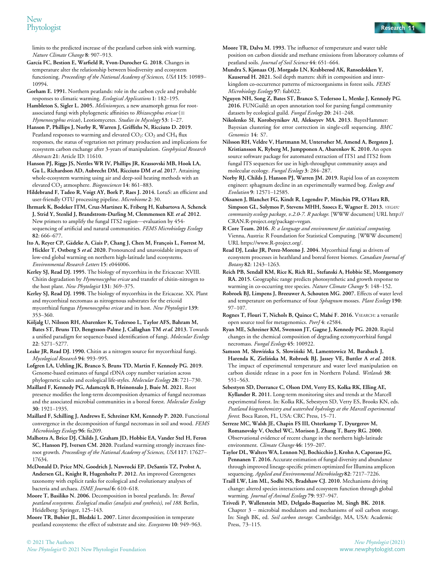limits to the predicted increase of the peatland carbon sink with warming. Nature Climate Change 8: 907–913.

- García FC, Bestion E, Warfield R, Yvon-Durocher G. 2018. Changes in temperature alter the relationship between biodiversity and ecosystem functioning. Proceedings of the National Academy of Sciences, USA 115: 10989– 10994.
- Gorham E. 1991. Northern peatlands: role in the carbon cycle and probable responses to climatic warming. Ecological Applications 1: 182–195.

Hambleton S, Sigler L. 2005. Meliniomyces, a new anamorph genus for rootassociated fungi with phylogenetic affinities to  $\mathit{Rhizoscyphus}\,\mathit{ericae}\ (\equiv$ Hymenoscyphus ericae), Leotiomycetes. Studies in Mycology 53: 1-27.

Hanson P, Phillips J, Norby R, Warren J, Griffiths N, Ricciuto D. 2019. Peatland responses to warming and elevated  $CO_2$ :  $CO_2$  and  $CH_4$  flux responses, the status of vegetation net primary production and implications for ecosystem carbon exchange after 3-years of manipulation. Geophysical Research Abstracts 21: Article ID: 11610.

Hanson PJ, Riggs JS, Nettles WR IV, Phillips JR, Krassovski MB, Hook LA, Gu L, Richardson AD, Aubrecht DM, Ricciuto DM et al. 2017. Attaining whole-ecosystem warming using air and deep-soil heating methods with an elevated CO<sub>2</sub> atmosphere. Biogeosciences 14: 861-883.

Hildebrand F, Tadeo R, Voigt AY, Bork P, Raes J. 2014. LotuS: an efficient and user-friendly OTU processing pipeline. Microbiome 2: 30.

Ihrmark K, Bodeker ITM, Cruz-Martinez K, Friberg H, Kubartova A, Schenck J, Strid Y, Stenlid J, Brandstrom-Durling M, Clemmensen KE et al. 2012. New primers to amplify the fungal ITS2 region—evaluation by 454 sequencing of artificial and natural communities. FEMS Microbiology Ecology 82: 666–677.

Ito A, Reyer CP, Gädeke A, Ciais P, Chang J, Chen M, François L, Forrest M, Hickler T, Ostberg S et al. 2020. Pronounced and unavoidable impacts of low-end global warming on northern high-latitude land ecosystems. Environmental Research Letters 15: e044006.

Kerley SJ, Read DJ. 1995. The biology of mycorrhiza in the Ericaceae: XVIII. Chitin degradation by Hymenoscyphus ericae and transfer of chitin-nitrogen to the host plant. New Phytologist 131: 369–375.

Kerley SJ, Read DJ. 1998. The biology of mycorrhiza in the Ericaceae. XX. Plant and mycorrhizal necromass as nitrogenous substrates for the ericoid mycorrhizal fungus Hymenoscyphus ericae and its host. New Phytologist 139: 353–360.

Kõljalg U, Nilsson RH, Abarenkov K, Tedersoo L, Taylor AFS, Bahram M, Bates ST, Bruns TD, Bengtsson-Palme J, Callaghan TM et al. 2013. Towards a unified paradigm for sequence-based identification of fungi. Molecular Ecology 22: 5271–5277.

Leake JR, Read DJ. 1990. Chitin as a nitrogen source for mycorrhizal fungi. Mycological Research 94: 993–995.

Lofgren LA, Uehling JK, Branco S, Bruns TD, Martin F, Kennedy PG. 2019. Genome-based estimates of fungal rDNA copy number variation across phylogenetic scales and ecological life-styles. Molecular Ecology 28: 721–730.

Maillard F, Kennedy PG, Adamczyk B, Heinonsalo J, Buée M. 2021. Root presence modifies the long-term decomposition dynamics of fungal necromass and the associated microbial communities in a boreal forest. Molecular Ecology 30: 1921–1935.

Maillard F, Schilling J, Andrews E, Schreiner KM, Kennedy P. 2020. Functional convergence in the decomposition of fungal necromass in soil and wood. FEMS Microbiology Ecology 96: fiz209.

Malhotra A, Brice DJ, Childs J, Graham JD, Hobbie EA, Vander Stel H, Feron SC, Hanson PJ, Iversen CM. 2020. Peatland warming strongly increases fineroot growth. Proceedings of the National Academy of Sciences, USA 117: 17627– 17634.

McDonald D, Price MN, Goodrich J, Nawrocki EP, DeSantis TZ, Probst A, Andersen GL, Knight R, Hugenholtz P. 2012. An improved Greengenes taxonomy with explicit ranks for ecological and evolutionary analyses of bacteria and archaea. ISME Journal 6: 610-618.

Moore T, Basiliko N. 2006. Decomposition in boreal peatlands. In: Boreal peatland ecosystems. Ecological studies (analysis and synthesis), vol 188. Berlin, Heidelberg: Springer, 125–143.

Moore TR, Bubier JL, Bledzki L. 2007. Litter decomposition in temperate peatland ecosystems: the effect of substrate and site. Ecosystems 10: 949–963. Moore TR, Dalva M. 1993. The influence of temperature and water table position on carbon dioxide and methane emissions from laboratory columns of peatland soils. Journal of Soil Science 44: 651–664.

Mundra S, Kjønaas OJ, Morgado LN, Krabberød AK, Ransedokken Y, Kauserud H. 2021. Soil depth matters: shift in composition and interkingdom co-occurrence patterns of microorganisms in forest soils. FEMS Microbiology Ecology 97: fiab022.

Nguyen NH, Song Z, Bates ST, Branco S, Tedersoo L, Menke J, Kennedy PG. 2016. FUNGuild: an open annotation tool for parsing fungal community datasets by ecological guild. Fungal Ecology 20: 241-248.

Nikolenko SI, Korobeynikov AI, Alekseyev MA. 2013. BayesHammer: Bayesian clustering for error correction in single-cell sequencing. BMC Genomics 14: S7.

Nilsson RH, Veldre V, Hartmann M, Unterseher M, Amend A, Bergsten J, Kristiansson K, Ryberg M, Jumpponen A, Abarenkov K. 2010. An open source software package for automated extraction of ITS1 and ITS2 from fungal ITS sequences for use in high-throughput community assays and molecular ecology. Fungal Ecology 3: 284–287.

Norby RJ, Childs J, Hanson PJ, Warren JM. 2019. Rapid loss of an ecosystem engineer: sphagnum decline in an experimentally warmed bog. Ecology and Evolution 9: 12571–12585.

Oksanen J, Blanchet FG, Kindt R, Legendre P, Minchin PR, O'Hara RB, Simpson GL, Solymos P, Stevens MHH, Szoecs E, Wagner E. 2013. VEGAN: community ecology package, v.2.0-7. R package. [WWW document] URL [http://](http://CRAN.R-project.org/package=vegan) [CRAN.R-project.org/package=vegan](http://CRAN.R-project.org/package=vegan).

R Core Team. 2016. R: a language and environment for statistical computing. Vienna, Austria: R Foundation for Statistical Computing. [WWW document] URL [https://www.R-project.org/.](https://www.R-project.org/)

Read DJ, Leake JR, Perez-Moreno J. 2004. Mycorrhizal fungi as drivers of ecosystem processes in heathland and boreal forest biomes. Canadian Journal of Botany 82: 1243–1263.

Reich PB, Sendall KM, Rice K, Rich RL, Stefanski A, Hobbie SE, Montgomery RA. 2015. Geographic range predicts photosynthetic and growth response to warming in co-occurring tree species. Nature Climate Change 5: 148-152.

Robroek BJ, Limpens J, Breeuwer A, Schouten MG. 2007. Effects of water level and temperature on performance of four Sphagnum mosses. Plant Ecology 190: 97–107.

Rognes T, Flouri T, Nichols B, Quince C, Mahé F. 2016. VSEARCH: a versatile open source tool for metagenomics. PeerJ 4: e2584.

Ryan ME, Schreiner KM, Swenson JT, Gagne J, Kennedy PG. 2020. Rapid changes in the chemical composition of degrading ectomycorrhizal fungal necromass. Fungal Ecology 45: 100922.

Samson M, Słowińska S, Słowiński M, Lamentowicz M, Barabach J, Harenda K, Zielińska M, Robroek BJ, Jassey VE, Buttler A et al. 2018. The impact of experimental temperature and water level manipulation on carbon dioxide release in a poor fen in Northern Poland. Wetlands 38: 551–563.

Sebestyen SD, Dorrance C, Olson DM, Verry ES, Kolka RK, Elling AE, Kyllander R. 2011. Long-term monitoring sites and trends at the Marcell experimental forest. In: Kolka RK, Sebestyen SD, Verry ES, Brooks KN, eds. Peatland biogeochemistry and watershed hydrology at the Marcell experimental forest. Boca Raton, FL, USA: CRC Press, 15–71.

Serreze MC, Walsh JE, Chapin FS III, Osterkamp T, Dyurgerov M, Romanovsky V, Oechel WC, Morison J, Zhang T, Barry RG. 2000. Observational evidence of recent change in the northern high-latitude environment. Climate Change 46: 159-207.

Taylor DL, Walters WA, Lennon NJ, Bochicchio J, Krohn A, Caporaso JG, Pennanen T. 2016. Accurate estimation of fungal diversity and abundance through improved lineage-specific primers optimized for Illumina amplicon sequencing. Applied and Environmental Microbiology 82: 7217–7226.

Traill LW, Lim ML, Sodhi NS, Bradshaw CJ. 2010. Mechanisms driving change: altered species interactions and ecosystem function through global warming. Journal of Animal Ecology 79: 937-947.

Trivedi P, Wallenstein MD, Delgado-Baquerizo M, Singh BK. 2018. Chapter 3 – microbial modulators and mechanisms of soil carbon storage. In: Singh BK, ed. Soil carbon storage. Cambridge, MA, USA: Academic Press, 73–115.